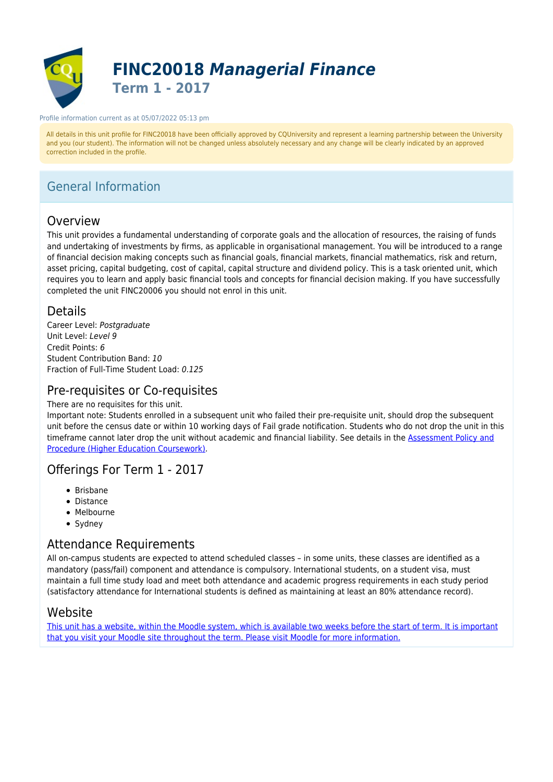

# **FINC20018** *Managerial Finance* **Term 1 - 2017**

#### Profile information current as at 05/07/2022 05:13 pm

All details in this unit profile for FINC20018 have been officially approved by CQUniversity and represent a learning partnership between the University and you (our student). The information will not be changed unless absolutely necessary and any change will be clearly indicated by an approved correction included in the profile.

# General Information

## Overview

This unit provides a fundamental understanding of corporate goals and the allocation of resources, the raising of funds and undertaking of investments by firms, as applicable in organisational management. You will be introduced to a range of financial decision making concepts such as financial goals, financial markets, financial mathematics, risk and return, asset pricing, capital budgeting, cost of capital, capital structure and dividend policy. This is a task oriented unit, which requires you to learn and apply basic financial tools and concepts for financial decision making. If you have successfully completed the unit FINC20006 you should not enrol in this unit.

## Details

Career Level: Postaraduate Unit Level: Level 9 Credit Points: 6 Student Contribution Band: 10 Fraction of Full-Time Student Load: 0.125

## Pre-requisites or Co-requisites

### There are no requisites for this unit.

Important note: Students enrolled in a subsequent unit who failed their pre-requisite unit, should drop the subsequent unit before the census date or within 10 working days of Fail grade notification. Students who do not drop the unit in this timeframe cannot later drop the unit without academic and financial liability. See details in the [Assessment Policy and](https://www.cqu.edu.au/policy) [Procedure \(Higher Education Coursework\)](https://www.cqu.edu.au/policy).

## Offerings For Term 1 - 2017

- Brisbane
- Distance
- Melbourne
- Sydney

# Attendance Requirements

All on-campus students are expected to attend scheduled classes – in some units, these classes are identified as a mandatory (pass/fail) component and attendance is compulsory. International students, on a student visa, must maintain a full time study load and meet both attendance and academic progress requirements in each study period (satisfactory attendance for International students is defined as maintaining at least an 80% attendance record).

## Website

[This unit has a website, within the Moodle system, which is available two weeks before the start of term. It is important](https://moodle.cqu.edu.au) [that you visit your Moodle site throughout the term. Please visit Moodle for more information.](https://moodle.cqu.edu.au)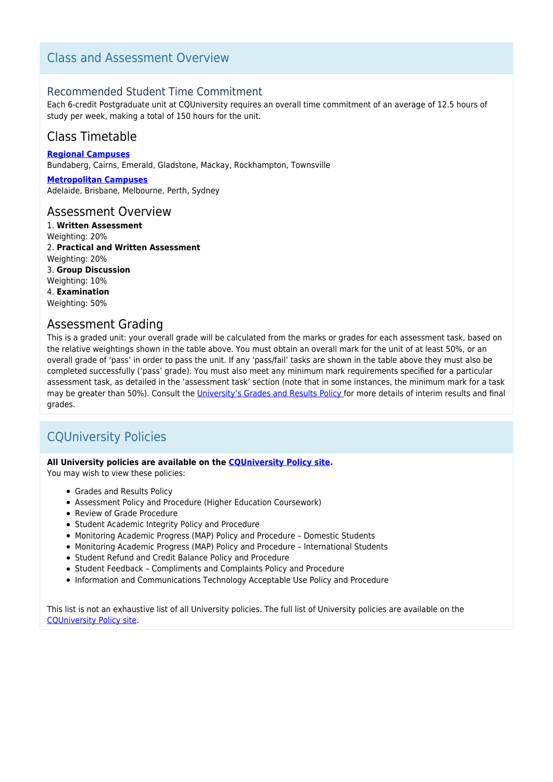# Class and Assessment Overview

## Recommended Student Time Commitment

Each 6-credit Postgraduate unit at CQUniversity requires an overall time commitment of an average of 12.5 hours of study per week, making a total of 150 hours for the unit.

## Class Timetable

**[Regional Campuses](https://handbook.cqu.edu.au/facet/timetables)** Bundaberg, Cairns, Emerald, Gladstone, Mackay, Rockhampton, Townsville

**[Metropolitan Campuses](https://handbook.cqu.edu.au/facet/timetables)** Adelaide, Brisbane, Melbourne, Perth, Sydney

## Assessment Overview

1. **Written Assessment** Weighting: 20% 2. **Practical and Written Assessment** Weighting: 20% 3. **Group Discussion** Weighting: 10% 4. **Examination** Weighting: 50%

## Assessment Grading

This is a graded unit: your overall grade will be calculated from the marks or grades for each assessment task, based on the relative weightings shown in the table above. You must obtain an overall mark for the unit of at least 50%, or an overall grade of 'pass' in order to pass the unit. If any 'pass/fail' tasks are shown in the table above they must also be completed successfully ('pass' grade). You must also meet any minimum mark requirements specified for a particular assessment task, as detailed in the 'assessment task' section (note that in some instances, the minimum mark for a task may be greater than 50%). Consult the [University's Grades and Results Policy](https://www.cqu.edu.au/policy) for more details of interim results and final grades.

# CQUniversity Policies

## **All University policies are available on the [CQUniversity Policy site.](https://policy.cqu.edu.au/)**

You may wish to view these policies:

- Grades and Results Policy
- Assessment Policy and Procedure (Higher Education Coursework)
- Review of Grade Procedure
- Student Academic Integrity Policy and Procedure
- Monitoring Academic Progress (MAP) Policy and Procedure Domestic Students
- Monitoring Academic Progress (MAP) Policy and Procedure International Students
- Student Refund and Credit Balance Policy and Procedure
- Student Feedback Compliments and Complaints Policy and Procedure
- Information and Communications Technology Acceptable Use Policy and Procedure

This list is not an exhaustive list of all University policies. The full list of University policies are available on the [CQUniversity Policy site.](https://policy.cqu.edu.au/)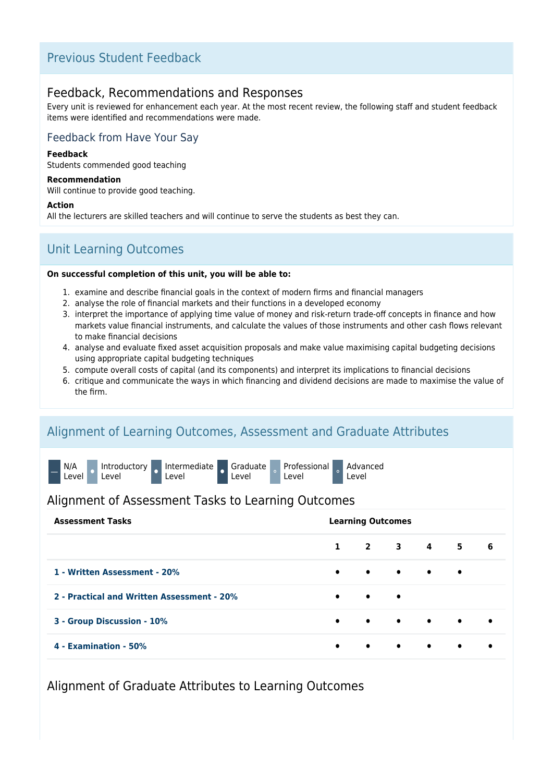## Previous Student Feedback

## Feedback, Recommendations and Responses

Every unit is reviewed for enhancement each year. At the most recent review, the following staff and student feedback items were identified and recommendations were made.

## Feedback from Have Your Say

#### **Feedback**

Students commended good teaching

#### **Recommendation**

Will continue to provide good teaching.

#### **Action**

All the lecturers are skilled teachers and will continue to serve the students as best they can.

# Unit Learning Outcomes

#### **On successful completion of this unit, you will be able to:**

- 1. examine and describe financial goals in the context of modern firms and financial managers
- 2. analyse the role of financial markets and their functions in a developed economy
- 3. interpret the importance of applying time value of money and risk-return trade-off concepts in finance and how markets value financial instruments, and calculate the values of those instruments and other cash flows relevant to make financial decisions
- 4. analyse and evaluate fixed asset acquisition proposals and make value maximising capital budgeting decisions using appropriate capital budgeting techniques
- 5. compute overall costs of capital (and its components) and interpret its implications to financial decisions
- 6. critique and communicate the ways in which financing and dividend decisions are made to maximise the value of the firm.

## Alignment of Learning Outcomes, Assessment and Graduate Attributes



## Alignment of Assessment Tasks to Learning Outcomes

| <b>Assessment Tasks</b>                    | <b>Learning Outcomes</b> |           |                               |           |           |           |
|--------------------------------------------|--------------------------|-----------|-------------------------------|-----------|-----------|-----------|
|                                            | $\mathbf{1}$             |           |                               |           | 2 3 4 5   | - 6       |
| 1 - Written Assessment - 20%               | $\bullet$                |           | $\bullet$ $\bullet$ $\bullet$ |           | $\bullet$ |           |
| 2 - Practical and Written Assessment - 20% | $\bullet$                | $\bullet$ | $\bullet$                     |           |           |           |
| 3 - Group Discussion - 10%                 | $\bullet$                |           | $\bullet$ $\bullet$ $\bullet$ |           | $\bullet$ |           |
| 4 - Examination - 50%                      | $\bullet$                | $\bullet$ | $\bullet$                     | $\bullet$ | $\bullet$ | $\bullet$ |

Alignment of Graduate Attributes to Learning Outcomes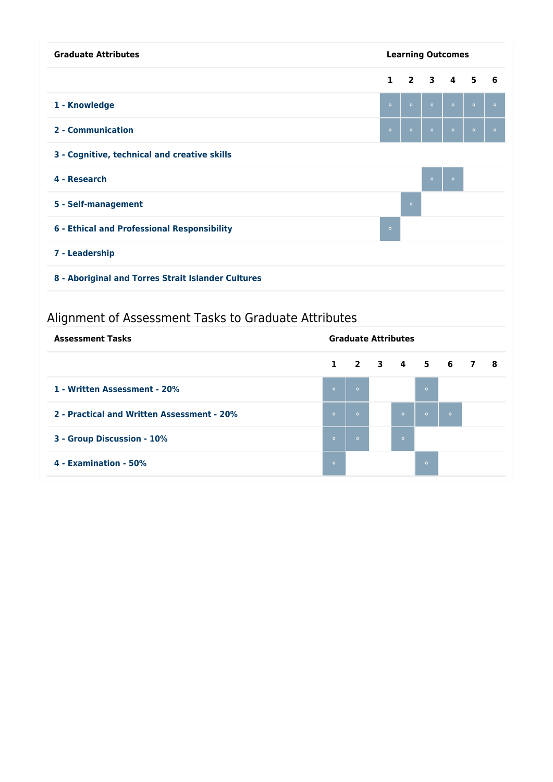| <b>Graduate Attributes</b>                           | <b>Learning Outcomes</b> |                |                         |                |         |         |
|------------------------------------------------------|--------------------------|----------------|-------------------------|----------------|---------|---------|
|                                                      | $\mathbf{1}$             | $\overline{2}$ | $\overline{\mathbf{3}}$ | $\overline{4}$ | 5       | 6       |
| 1 - Knowledge                                        | $\circ$                  | $\circ$        | $\circ$                 | $\circ$        | $\circ$ | $\circ$ |
| 2 - Communication                                    | $\circ$                  | $\circ$        | $\circ$                 | $\circ$        | $\circ$ | $\circ$ |
| 3 - Cognitive, technical and creative skills         |                          |                |                         |                |         |         |
| 4 - Research                                         |                          |                | $\circ$                 | $\bullet$      |         |         |
| 5 - Self-management                                  |                          | $\circ$        |                         |                |         |         |
| 6 - Ethical and Professional Responsibility          | $\circ$                  |                |                         |                |         |         |
| 7 - Leadership                                       |                          |                |                         |                |         |         |
| 8 - Aboriginal and Torres Strait Islander Cultures   |                          |                |                         |                |         |         |
| Alignment of Assessment Tasks to Graduate Attributes |                          |                |                         |                |         |         |

| <b>Assessment Tasks</b>                    | <b>Graduate Attributes</b> |         |  |         |               |         |  |  |
|--------------------------------------------|----------------------------|---------|--|---------|---------------|---------|--|--|
|                                            | $\mathbf{1}$               |         |  |         | 2 3 4 5 6 7 8 |         |  |  |
| 1 - Written Assessment - 20%               | $\circ$                    | $\circ$ |  |         | $\circ$       |         |  |  |
| 2 - Practical and Written Assessment - 20% | $\bullet$                  | $\circ$ |  | $\circ$ | $\circ$       | $\circ$ |  |  |
| 3 - Group Discussion - 10%                 | $\circ$                    | $\circ$ |  | $\circ$ |               |         |  |  |
| 4 - Examination - 50%                      | $\circ$                    |         |  |         | $\circ$       |         |  |  |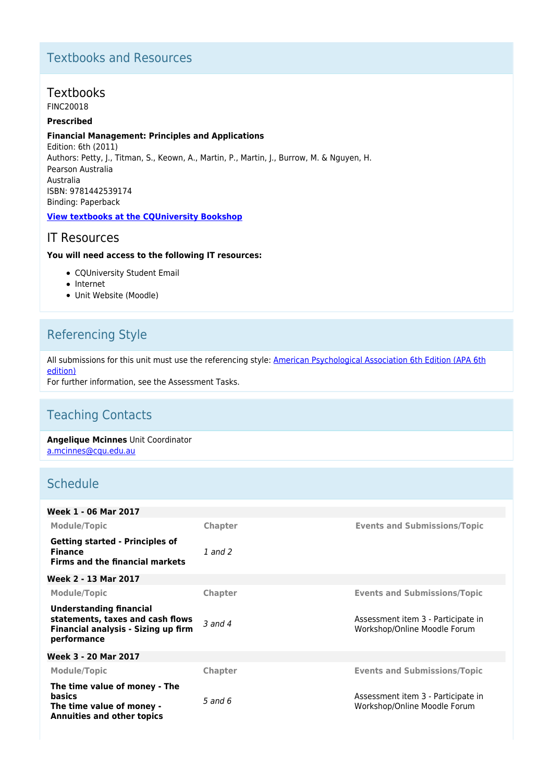# Textbooks and Resources

# Textbooks

FINC20018

## **Prescribed**

#### **Financial Management: Principles and Applications**

Edition: 6th (2011) Authors: Petty, J., Titman, S., Keown, A., Martin, P., Martin, J., Burrow, M. & Nguyen, H. Pearson Australia Australia ISBN: 9781442539174 Binding: Paperback

### **[View textbooks at the CQUniversity Bookshop](https://bookshop.cqu.edu.au/)**

## IT Resources

#### **You will need access to the following IT resources:**

- CQUniversity Student Email
- Internet
- Unit Website (Moodle)

# Referencing Style

All submissions for this unit must use the referencing style: [American Psychological Association 6th Edition \(APA 6th](https://sportal.cqu.edu.au/__data/assets/pdf_file/0026/107684/APA_Referencing_Guide-2019.pdf) [edition\)](https://sportal.cqu.edu.au/__data/assets/pdf_file/0026/107684/APA_Referencing_Guide-2019.pdf)

For further information, see the Assessment Tasks.

# Teaching Contacts

**Angelique Mcinnes** Unit Coordinator [a.mcinnes@cqu.edu.au](mailto:a.mcinnes@cqu.edu.au)

## **Schedule**

| Week 1 - 06 Mar 2017                                                                                                            |                      |                                                                    |
|---------------------------------------------------------------------------------------------------------------------------------|----------------------|--------------------------------------------------------------------|
| <b>Module/Topic</b>                                                                                                             | <b>Chapter</b>       | <b>Events and Submissions/Topic</b>                                |
| <b>Getting started - Principles of</b><br><b>Finance</b><br><b>Firms and the financial markets</b>                              | 1 and 2              |                                                                    |
| Week 2 - 13 Mar 2017                                                                                                            |                      |                                                                    |
| <b>Module/Topic</b>                                                                                                             | <b>Chapter</b>       | <b>Events and Submissions/Topic</b>                                |
| <b>Understanding financial</b><br>statements, taxes and cash flows<br><b>Financial analysis - Sizing up firm</b><br>performance | $\overline{3}$ and 4 | Assessment item 3 - Participate in<br>Workshop/Online Moodle Forum |
| Week 3 - 20 Mar 2017                                                                                                            |                      |                                                                    |
| <b>Module/Topic</b>                                                                                                             | <b>Chapter</b>       | <b>Events and Submissions/Topic</b>                                |
| The time value of money - The<br>basics<br>The time value of money -<br><b>Annuities and other topics</b>                       | $5$ and $6$          | Assessment item 3 - Participate in<br>Workshop/Online Moodle Forum |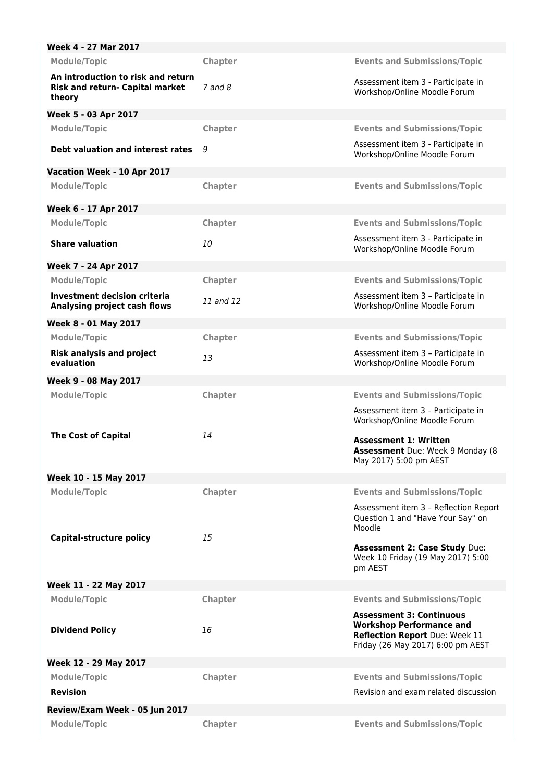| Week 4 - 27 Mar 2017                                                            |             |                                                                                                                                           |
|---------------------------------------------------------------------------------|-------------|-------------------------------------------------------------------------------------------------------------------------------------------|
| <b>Module/Topic</b>                                                             | Chapter     | <b>Events and Submissions/Topic</b>                                                                                                       |
| An introduction to risk and return<br>Risk and return- Capital market<br>theory | $7$ and $8$ | Assessment item 3 - Participate in<br>Workshop/Online Moodle Forum                                                                        |
| Week 5 - 03 Apr 2017                                                            |             |                                                                                                                                           |
| <b>Module/Topic</b>                                                             | Chapter     | <b>Events and Submissions/Topic</b>                                                                                                       |
| Debt valuation and interest rates                                               | 9           | Assessment item 3 - Participate in<br>Workshop/Online Moodle Forum                                                                        |
| Vacation Week - 10 Apr 2017                                                     |             |                                                                                                                                           |
| <b>Module/Topic</b>                                                             | Chapter     | <b>Events and Submissions/Topic</b>                                                                                                       |
| Week 6 - 17 Apr 2017                                                            |             |                                                                                                                                           |
| <b>Module/Topic</b>                                                             | Chapter     | <b>Events and Submissions/Topic</b>                                                                                                       |
| <b>Share valuation</b>                                                          | 10          | Assessment item 3 - Participate in<br>Workshop/Online Moodle Forum                                                                        |
| Week 7 - 24 Apr 2017                                                            |             |                                                                                                                                           |
| <b>Module/Topic</b>                                                             | Chapter     | <b>Events and Submissions/Topic</b>                                                                                                       |
| Investment decision criteria<br>Analysing project cash flows                    | 11 and 12   | Assessment item 3 - Participate in<br>Workshop/Online Moodle Forum                                                                        |
| Week 8 - 01 May 2017                                                            |             |                                                                                                                                           |
| <b>Module/Topic</b>                                                             | Chapter     | <b>Events and Submissions/Topic</b>                                                                                                       |
| <b>Risk analysis and project</b><br>evaluation                                  | 13          | Assessment item 3 - Participate in<br>Workshop/Online Moodle Forum                                                                        |
| Week 9 - 08 May 2017                                                            |             |                                                                                                                                           |
| <b>Module/Topic</b>                                                             | Chapter     | <b>Events and Submissions/Topic</b><br>Assessment item 3 - Participate in<br>Workshop/Online Moodle Forum                                 |
| <b>The Cost of Capital</b>                                                      | 14          | <b>Assessment 1: Written</b><br>Assessment Due: Week 9 Monday (8<br>May 2017) 5:00 pm AEST                                                |
| Week 10 - 15 May 2017                                                           |             |                                                                                                                                           |
| <b>Module/Topic</b>                                                             | Chapter     | <b>Events and Submissions/Topic</b><br>Assessment item 3 - Reflection Report<br>Question 1 and "Have Your Say" on<br>Moodle               |
| Capital-structure policy                                                        | 15          | <b>Assessment 2: Case Study Due:</b><br>Week 10 Friday (19 May 2017) 5:00<br>pm AEST                                                      |
| Week 11 - 22 May 2017                                                           |             |                                                                                                                                           |
| <b>Module/Topic</b>                                                             | Chapter     | <b>Events and Submissions/Topic</b>                                                                                                       |
| <b>Dividend Policy</b>                                                          | 16          | <b>Assessment 3: Continuous</b><br><b>Workshop Performance and</b><br>Reflection Report Due: Week 11<br>Friday (26 May 2017) 6:00 pm AEST |
| Week 12 - 29 May 2017                                                           |             |                                                                                                                                           |
| <b>Module/Topic</b><br><b>Revision</b>                                          | Chapter     | <b>Events and Submissions/Topic</b><br>Revision and exam related discussion                                                               |
| Review/Exam Week - 05 Jun 2017                                                  |             |                                                                                                                                           |
| <b>Module/Topic</b>                                                             | Chapter     | <b>Events and Submissions/Topic</b>                                                                                                       |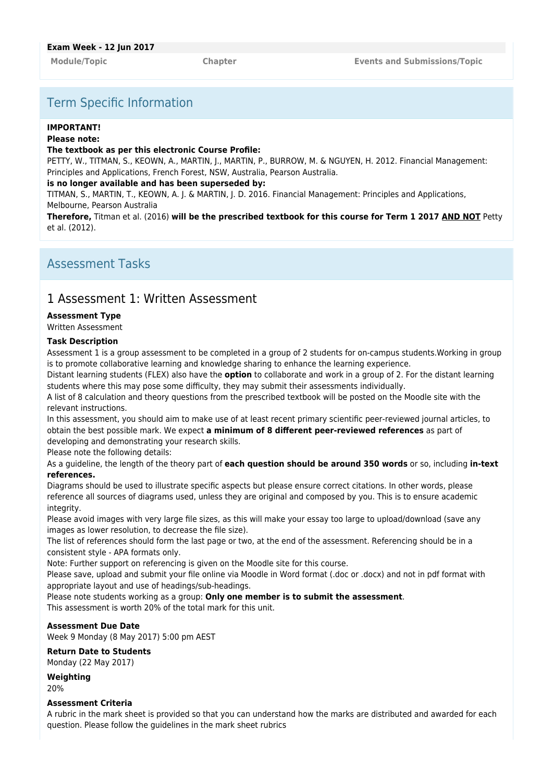# Term Specific Information

#### **IMPORTANT!**

#### **Please note:**

#### **The textbook as per this electronic Course Profile:**

PETTY, W., TITMAN, S., KEOWN, A., MARTIN, J., MARTIN, P., BURROW, M. & NGUYEN, H. 2012. Financial Management: Principles and Applications, French Forest, NSW, Australia, Pearson Australia.

#### **is no longer available and has been superseded by:**

TITMAN, S., MARTIN, T., KEOWN, A. J. & MARTIN, J. D. 2016. Financial Management: Principles and Applications, Melbourne, Pearson Australia

**Therefore,** Titman et al. (2016) **will be the prescribed textbook for this course for Term 1 2017 AND NOT** Petty et al. (2012).

## Assessment Tasks

## 1 Assessment 1: Written Assessment

#### **Assessment Type**

Written Assessment

#### **Task Description**

Assessment 1 is a group assessment to be completed in a group of 2 students for on-campus students.Working in group is to promote collaborative learning and knowledge sharing to enhance the learning experience.

Distant learning students (FLEX) also have the **option** to collaborate and work in a group of 2. For the distant learning students where this may pose some difficulty, they may submit their assessments individually.

A list of 8 calculation and theory questions from the prescribed textbook will be posted on the Moodle site with the relevant instructions.

In this assessment, you should aim to make use of at least recent primary scientific peer-reviewed journal articles, to obtain the best possible mark. We expect **a minimum of 8 different peer-reviewed references** as part of developing and demonstrating your research skills.

Please note the following details:

As a guideline, the length of the theory part of **each question should be around 350 words** or so, including **in-text references.**

Diagrams should be used to illustrate specific aspects but please ensure correct citations. In other words, please reference all sources of diagrams used, unless they are original and composed by you. This is to ensure academic integrity.

Please avoid images with very large file sizes, as this will make your essay too large to upload/download (save any images as lower resolution, to decrease the file size).

The list of references should form the last page or two, at the end of the assessment. Referencing should be in a consistent style - APA formats only.

Note: Further support on referencing is given on the Moodle site for this course.

Please save, upload and submit your file online via Moodle in Word format (.doc or .docx) and not in pdf format with appropriate layout and use of headings/sub-headings.

Please note students working as a group: **Only one member is to submit the assessment**. This assessment is worth 20% of the total mark for this unit.

### **Assessment Due Date**

Week 9 Monday (8 May 2017) 5:00 pm AEST

### **Return Date to Students**

Monday (22 May 2017)

**Weighting**

20%

#### **Assessment Criteria**

A rubric in the mark sheet is provided so that you can understand how the marks are distributed and awarded for each question. Please follow the guidelines in the mark sheet rubrics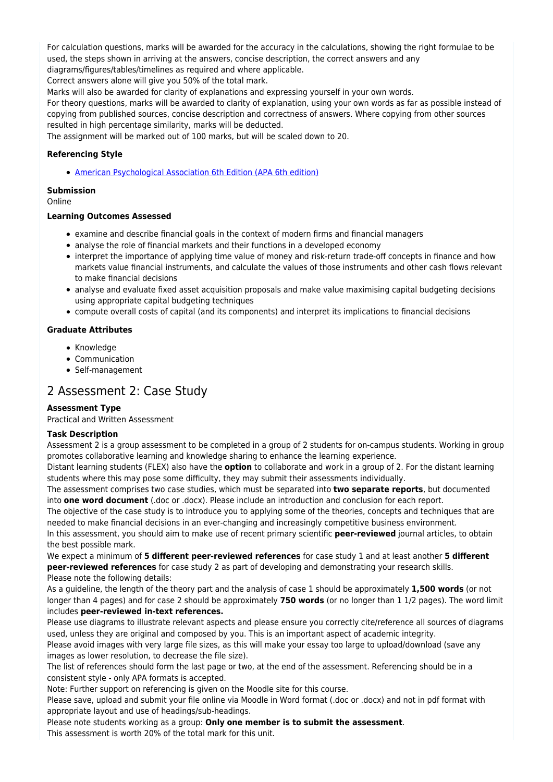For calculation questions, marks will be awarded for the accuracy in the calculations, showing the right formulae to be used, the steps shown in arriving at the answers, concise description, the correct answers and any diagrams/figures/tables/timelines as required and where applicable.

Correct answers alone will give you 50% of the total mark.

Marks will also be awarded for clarity of explanations and expressing yourself in your own words.

For theory questions, marks will be awarded to clarity of explanation, using your own words as far as possible instead of copying from published sources, concise description and correctness of answers. Where copying from other sources resulted in high percentage similarity, marks will be deducted.

The assignment will be marked out of 100 marks, but will be scaled down to 20.

## **Referencing Style**

[American Psychological Association 6th Edition \(APA 6th edition\)](https://sportal.cqu.edu.au/__data/assets/pdf_file/0026/107684/APA_Referencing_Guide-2019.pdf)

### **Submission**

Online

### **Learning Outcomes Assessed**

- examine and describe financial goals in the context of modern firms and financial managers
- analyse the role of financial markets and their functions in a developed economy
- interpret the importance of applying time value of money and risk-return trade-off concepts in finance and how markets value financial instruments, and calculate the values of those instruments and other cash flows relevant to make financial decisions
- analyse and evaluate fixed asset acquisition proposals and make value maximising capital budgeting decisions using appropriate capital budgeting techniques
- compute overall costs of capital (and its components) and interpret its implications to financial decisions

### **Graduate Attributes**

- Knowledge
- Communication
- Self-management

## 2 Assessment 2: Case Study

### **Assessment Type**

Practical and Written Assessment

### **Task Description**

Assessment 2 is a group assessment to be completed in a group of 2 students for on-campus students. Working in group promotes collaborative learning and knowledge sharing to enhance the learning experience.

Distant learning students (FLEX) also have the **option** to collaborate and work in a group of 2. For the distant learning students where this may pose some difficulty, they may submit their assessments individually.

The assessment comprises two case studies, which must be separated into **two separate reports**, but documented into **one word document** (.doc or .docx). Please include an introduction and conclusion for each report.

The objective of the case study is to introduce you to applying some of the theories, concepts and techniques that are needed to make financial decisions in an ever-changing and increasingly competitive business environment. In this assessment, you should aim to make use of recent primary scientific **peer-reviewed** journal articles, to obtain the best possible mark.

We expect a minimum of **5 different peer-reviewed references** for case study 1 and at least another **5 different peer-reviewed references** for case study 2 as part of developing and demonstrating your research skills. Please note the following details:

As a guideline, the length of the theory part and the analysis of case 1 should be approximately **1,500 words** (or not longer than 4 pages) and for case 2 should be approximately **750 words** (or no longer than 1 1/2 pages). The word limit includes **peer-reviewed in-text references.**

Please use diagrams to illustrate relevant aspects and please ensure you correctly cite/reference all sources of diagrams used, unless they are original and composed by you. This is an important aspect of academic integrity.

Please avoid images with very large file sizes, as this will make your essay too large to upload/download (save any images as lower resolution, to decrease the file size).

The list of references should form the last page or two, at the end of the assessment. Referencing should be in a consistent style - only APA formats is accepted.

Note: Further support on referencing is given on the Moodle site for this course.

Please save, upload and submit your file online via Moodle in Word format (.doc or .docx) and not in pdf format with appropriate layout and use of headings/sub-headings.

Please note students working as a group: **Only one member is to submit the assessment**. This assessment is worth 20% of the total mark for this unit.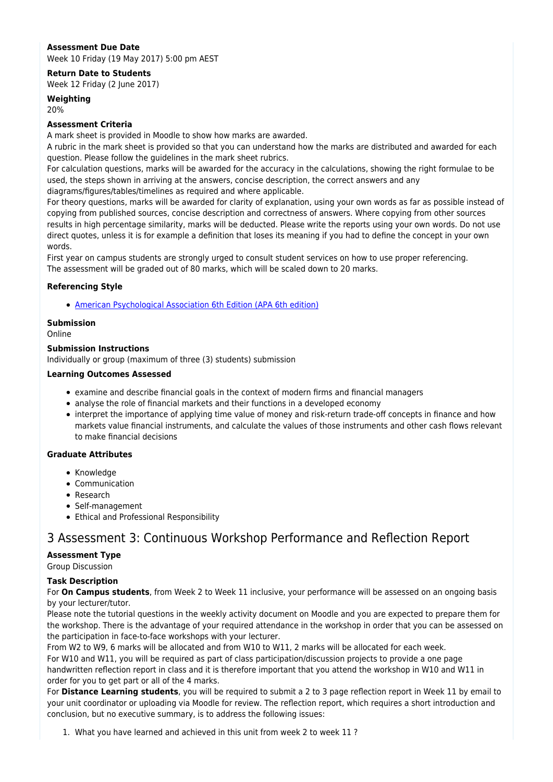## **Assessment Due Date**

Week 10 Friday (19 May 2017) 5:00 pm AEST

### **Return Date to Students**

Week 12 Friday (2 June 2017)

## **Weighting**

20%

### **Assessment Criteria**

A mark sheet is provided in Moodle to show how marks are awarded.

A rubric in the mark sheet is provided so that you can understand how the marks are distributed and awarded for each question. Please follow the guidelines in the mark sheet rubrics.

For calculation questions, marks will be awarded for the accuracy in the calculations, showing the right formulae to be used, the steps shown in arriving at the answers, concise description, the correct answers and any

diagrams/figures/tables/timelines as required and where applicable.

For theory questions, marks will be awarded for clarity of explanation, using your own words as far as possible instead of copying from published sources, concise description and correctness of answers. Where copying from other sources results in high percentage similarity, marks will be deducted. Please write the reports using your own words. Do not use direct quotes, unless it is for example a definition that loses its meaning if you had to define the concept in your own words.

First year on campus students are strongly urged to consult student services on how to use proper referencing. The assessment will be graded out of 80 marks, which will be scaled down to 20 marks.

## **Referencing Style**

[American Psychological Association 6th Edition \(APA 6th edition\)](https://sportal.cqu.edu.au/__data/assets/pdf_file/0026/107684/APA_Referencing_Guide-2019.pdf)

### **Submission**

Online

### **Submission Instructions**

Individually or group (maximum of three (3) students) submission

### **Learning Outcomes Assessed**

- examine and describe financial goals in the context of modern firms and financial managers
- analyse the role of financial markets and their functions in a developed economy
- interpret the importance of applying time value of money and risk-return trade-off concepts in finance and how markets value financial instruments, and calculate the values of those instruments and other cash flows relevant to make financial decisions

## **Graduate Attributes**

- Knowledge
- Communication
- Research
- Self-management
- Ethical and Professional Responsibility

## 3 Assessment 3: Continuous Workshop Performance and Reflection Report

### **Assessment Type**

Group Discussion

### **Task Description**

For **On Campus students**, from Week 2 to Week 11 inclusive, your performance will be assessed on an ongoing basis by your lecturer/tutor.

Please note the tutorial questions in the weekly activity document on Moodle and you are expected to prepare them for the workshop. There is the advantage of your required attendance in the workshop in order that you can be assessed on the participation in face-to-face workshops with your lecturer.

From W2 to W9, 6 marks will be allocated and from W10 to W11, 2 marks will be allocated for each week. For W10 and W11, you will be required as part of class participation/discussion projects to provide a one page handwritten reflection report in class and it is therefore important that you attend the workshop in W10 and W11 in order for you to get part or all of the 4 marks.

For **Distance Learning students**, you will be required to submit a 2 to 3 page reflection report in Week 11 by email to your unit coordinator or uploading via Moodle for review. The reflection report, which requires a short introduction and conclusion, but no executive summary, is to address the following issues:

1. What you have learned and achieved in this unit from week 2 to week 11 ?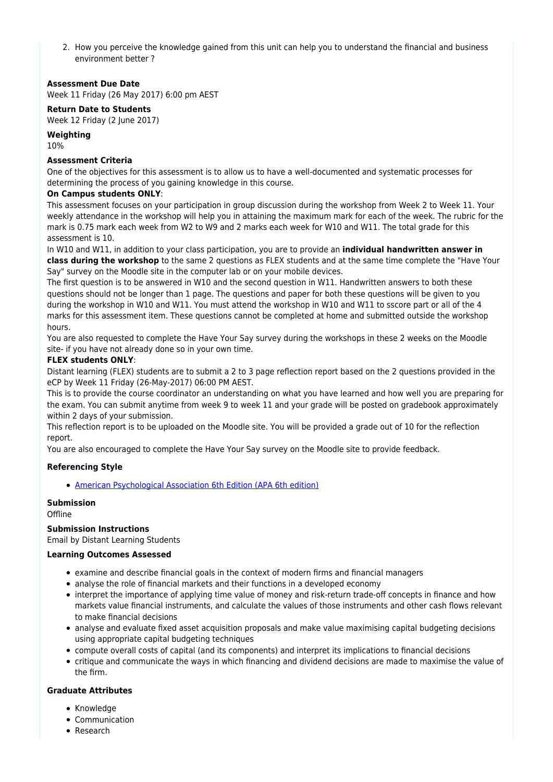2. How you perceive the knowledge gained from this unit can help you to understand the financial and business environment better ?

### **Assessment Due Date**

Week 11 Friday (26 May 2017) 6:00 pm AEST

#### **Return Date to Students**

Week 12 Friday (2 June 2017)

#### **Weighting**

10%

### **Assessment Criteria**

One of the objectives for this assessment is to allow us to have a well-documented and systematic processes for determining the process of you gaining knowledge in this course.

#### **On Campus students ONLY**:

This assessment focuses on your participation in group discussion during the workshop from Week 2 to Week 11. Your weekly attendance in the workshop will help you in attaining the maximum mark for each of the week. The rubric for the mark is 0.75 mark each week from W2 to W9 and 2 marks each week for W10 and W11. The total grade for this assessment is 10.

In W10 and W11, in addition to your class participation, you are to provide an **individual handwritten answer in class during the workshop** to the same 2 questions as FLEX students and at the same time complete the "Have Your Say" survey on the Moodle site in the computer lab or on your mobile devices.

The first question is to be answered in W10 and the second question in W11. Handwritten answers to both these questions should not be longer than 1 page. The questions and paper for both these questions will be given to you during the workshop in W10 and W11. You must attend the workshop in W10 and W11 to sscore part or all of the 4 marks for this assessment item. These questions cannot be completed at home and submitted outside the workshop hours.

You are also requested to complete the Have Your Say survey during the workshops in these 2 weeks on the Moodle site- if you have not already done so in your own time.

### **FLEX students ONLY**:

Distant learning (FLEX) students are to submit a 2 to 3 page reflection report based on the 2 questions provided in the eCP by Week 11 Friday (26-May-2017) 06:00 PM AEST.

This is to provide the course coordinator an understanding on what you have learned and how well you are preparing for the exam. You can submit anytime from week 9 to week 11 and your grade will be posted on gradebook approximately within 2 days of your submission.

This reflection report is to be uploaded on the Moodle site. You will be provided a grade out of 10 for the reflection report.

You are also encouraged to complete the Have Your Say survey on the Moodle site to provide feedback.

### **Referencing Style**

[American Psychological Association 6th Edition \(APA 6th edition\)](https://sportal.cqu.edu.au/__data/assets/pdf_file/0026/107684/APA_Referencing_Guide-2019.pdf)

## **Submission**

**Offline** 

#### **Submission Instructions**

Email by Distant Learning Students

#### **Learning Outcomes Assessed**

- examine and describe financial goals in the context of modern firms and financial managers
- analyse the role of financial markets and their functions in a developed economy
- interpret the importance of applying time value of money and risk-return trade-off concepts in finance and how markets value financial instruments, and calculate the values of those instruments and other cash flows relevant to make financial decisions
- analyse and evaluate fixed asset acquisition proposals and make value maximising capital budgeting decisions using appropriate capital budgeting techniques
- compute overall costs of capital (and its components) and interpret its implications to financial decisions
- critique and communicate the ways in which financing and dividend decisions are made to maximise the value of the firm.

#### **Graduate Attributes**

- Knowledge
- Communication
- Research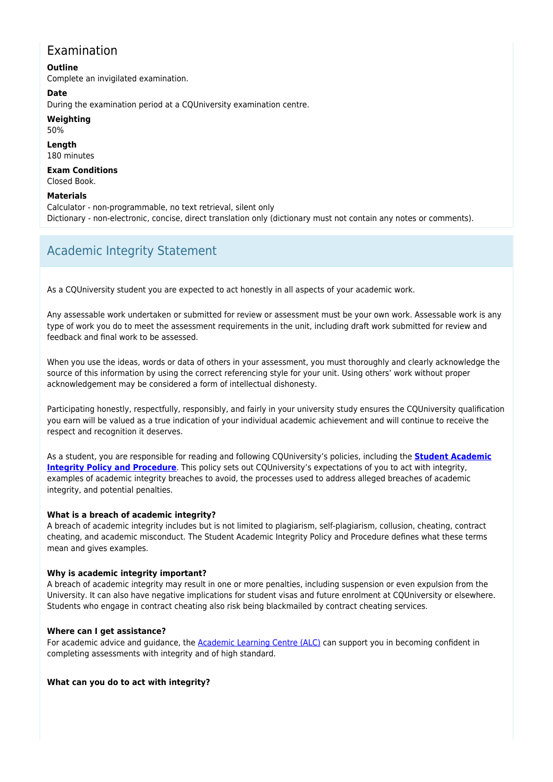# Examination

**Outline** Complete an invigilated examination.

**Date**

During the examination period at a CQUniversity examination centre.

### **Weighting**

50%

**Length** 180 minutes

**Exam Conditions** Closed Book.

## **Materials**

Calculator - non-programmable, no text retrieval, silent only Dictionary - non-electronic, concise, direct translation only (dictionary must not contain any notes or comments).

# Academic Integrity Statement

As a CQUniversity student you are expected to act honestly in all aspects of your academic work.

Any assessable work undertaken or submitted for review or assessment must be your own work. Assessable work is any type of work you do to meet the assessment requirements in the unit, including draft work submitted for review and feedback and final work to be assessed.

When you use the ideas, words or data of others in your assessment, you must thoroughly and clearly acknowledge the source of this information by using the correct referencing style for your unit. Using others' work without proper acknowledgement may be considered a form of intellectual dishonesty.

Participating honestly, respectfully, responsibly, and fairly in your university study ensures the CQUniversity qualification you earn will be valued as a true indication of your individual academic achievement and will continue to receive the respect and recognition it deserves.

As a student, you are responsible for reading and following CQUniversity's policies, including the **[Student Academic](https://www.cqu.edu.au/policy/sharepoint-document-download?file_uri={BE8380F3-F86D-4C55-AC0D-84A81EAFD6A2}/Student%20Academic%20Integrity%20Policy%20and%20Procedure%20(formerly%20known%20as%20the%20Academic%20Misconduct%20Procedure).pdf) [Integrity Policy and Procedure](https://www.cqu.edu.au/policy/sharepoint-document-download?file_uri={BE8380F3-F86D-4C55-AC0D-84A81EAFD6A2}/Student%20Academic%20Integrity%20Policy%20and%20Procedure%20(formerly%20known%20as%20the%20Academic%20Misconduct%20Procedure).pdf)**. This policy sets out CQUniversity's expectations of you to act with integrity, examples of academic integrity breaches to avoid, the processes used to address alleged breaches of academic integrity, and potential penalties.

## **What is a breach of academic integrity?**

A breach of academic integrity includes but is not limited to plagiarism, self-plagiarism, collusion, cheating, contract cheating, and academic misconduct. The Student Academic Integrity Policy and Procedure defines what these terms mean and gives examples.

### **Why is academic integrity important?**

A breach of academic integrity may result in one or more penalties, including suspension or even expulsion from the University. It can also have negative implications for student visas and future enrolment at CQUniversity or elsewhere. Students who engage in contract cheating also risk being blackmailed by contract cheating services.

### **Where can I get assistance?**

For academic advice and guidance, the [Academic Learning Centre \(ALC\)](https://www.cqu.edu.au/student-life/academic-learning-centre) can support you in becoming confident in completing assessments with integrity and of high standard.

### **What can you do to act with integrity?**